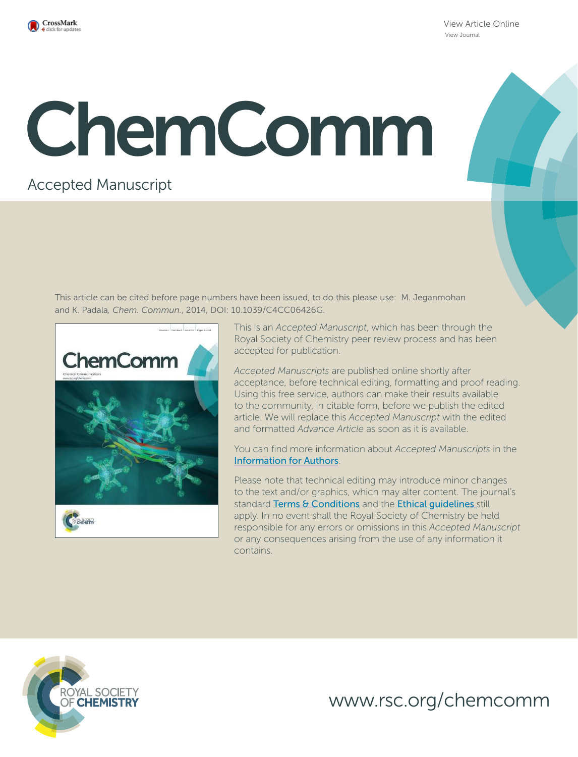

View Article Online View Journal

# ChemComm

# Accepted Manuscript

This article can be cited before page numbers have been issued, to do this please use: M. Jeganmohan and K. Padala*, Chem. Commun.*, 2014, DOI: 10.1039/C4CC06426G.



This is an *Accepted Manuscript*, which has been through the Royal Society of Chemistry peer review process and has been accepted for publication.

*Accepted Manuscripts* are published online shortly after acceptance, before technical editing, formatting and proof reading. Using this free service, authors can make their results available to the community, in citable form, before we publish the edited article. We will replace this *Accepted Manuscript* with the edited and formatted *Advance Article* as soon as it is available.

You can find more information about *Accepted Manuscripts* in the Information for Authors.

Please note that technical editing may introduce minor changes to the text and/or graphics, which may alter content. The journal's standard Terms & Conditions and the Ethical quidelines still apply. In no event shall the Royal Society of Chemistry be held responsible for any errors or omissions in this *Accepted Manuscript* or any consequences arising from the use of any information it contains.



www.rsc.org/chemcomm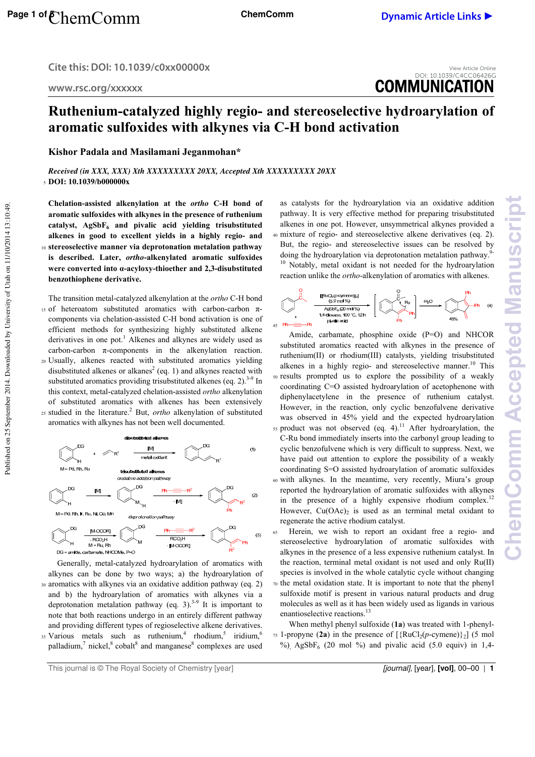**Cite this: DOI: 10.1039/c0xx00000x** 

**www.rsc.org/xxxxxx** 



# **Ruthenium-catalyzed highly regio- and stereoselective hydroarylation of aromatic sulfoxides with alkynes via C-H bond activation**

**Kishor Padala and Masilamani Jeganmohan\*** 

*Received (in XXX, XXX) Xth XXXXXXXXX 20XX, Accepted Xth XXXXXXXXX 20XX*  <sup>5</sup>**DOI: 10.1039/b000000x** 

**Chelation-assisted alkenylation at the** *ortho* **C-H bond of aromatic sulfoxides with alkynes in the presence of ruthenium catalyst, AgSbF6 and pivalic acid yielding trisubstituted alkenes in good to excellent yields in a highly regio- and**  <sup>10</sup>**stereoselective manner via deprotonation metalation pathway is described. Later,** *ortho***-alkenylated aromatic sulfoxides were converted into α-acyloxy-thioether and 2,3-disubstituted benzothiophene derivative.**

The transition metal-catalyzed alkenylation at the *ortho* C-H bond 15 of heteroatom substituted aromatics with carbon-carbon πcomponents via chelation-assisted C-H bond activation is one of efficient methods for synthesizing highly substituted alkene derivatives in one pot.<sup>1</sup> Alkenes and alkynes are widely used as carbon-carbon  $\pi$ -components in the alkenylation reaction. <sup>20</sup>Usually, alkenes reacted with substituted aromatics yielding disubstituted alkenes or alkanes<sup>2</sup> (eq. 1) and alkynes reacted with substituted aromatics providing trisubstituted alkenes (eq. 2). $3-9$  In this context, metal-catalyzed chelation-assisted *ortho* alkenylation of substituted aromatics with alkenes has been extensively  $25$  studied in the literature.<sup>2</sup> But, *ortho* alkenylation of substituted aromatics with alkynes has not been well documented.



 Generally, metal-catalyzed hydroarylation of aromatics with alkynes can be done by two ways; a) the hydroarylation of <sup>30</sup>aromatics with alkynes via an oxidative addition pathway (eq. 2) and b) the hydroarylation of aromatics with alkynes via a deprotonation metalation pathway (eq. 3).<sup>3-9</sup> It is important to note that both reactions undergo in an entirely different pathway and providing different types of regioselective alkene derivatives. Various metals such as ruthenium,<sup>4</sup> rhodium,<sup>5</sup> iridium,<sup>6</sup> 35 palladium,<sup>7</sup> nickel,<sup>8</sup> cobalt<sup>8</sup> and manganese<sup>8</sup> complexes are used

as catalysts for the hydroarylation via an oxidative addition pathway. It is very effective method for preparing trisubstituted alkenes in one pot. However, unsymmetrical alkynes provided a <sup>40</sup>mixture of regio- and stereoselective alkene derivatives (eq. 2). But, the regio- and stereoselective issues can be resolved by doing the hydroarylation via deprotonation metalation pathway.<sup>9</sup> <sup>10</sup> Notably, metal oxidant is not needed for the hydroarylation reaction unlike the *ortho*-alkenylation of aromatics with alkenes.



 Amide, carbamate, phosphine oxide (P=O) and NHCOR substituted aromatics reacted with alkynes in the presence of ruthenium(II) or rhodium(III) catalysts, yielding trisubstituted alkenes in a highly regio- and stereoselective manner.<sup>10</sup> This <sup>50</sup>results prompted us to explore the possibility of a weakly coordinating C=O assisted hydroarylation of acetophenone with diphenylacetylene in the presence of ruthenium catalyst. However, in the reaction, only cyclic benzofulvene derivative was observed in 45% yield and the expected hydroarylation  $55$  product was not observed (eq. 4).<sup>11</sup> After hydroarylation, the C-Ru bond immediately inserts into the carbonyl group leading to cyclic benzofulvene which is very difficult to suppress. Next, we have paid out attention to explore the possibility of a weakly coordinating S=O assisted hydroarylation of aromatic sulfoxides <sup>60</sup>with alkynes. In the meantime, very recently, Miura's group reported the hydroarylation of aromatic sulfoxides with alkynes

**ChemComm Accepted Manuscript**

emComm Accepted Manuscrip

- in the presence of a highly expensive rhodium complex.<sup>12</sup> However,  $Cu(OAc)_2$  is used as an terminal metal oxidant to regenerate the active rhodium catalyst.
- <sup>65</sup>Herein, we wish to report an oxidant free a regio- and stereoselective hydroarylation of aromatic sulfoxides with alkynes in the presence of a less expensive ruthenium catalyst. In the reaction, terminal metal oxidant is not used and only Ru(II) species is involved in the whole catalytic cycle without changing
- $70$  the metal oxidation state. It is important to note that the phenyl sulfoxide motif is present in various natural products and drug molecules as well as it has been widely used as ligands in various enantioselective reactions.<sup>13</sup>
- When methyl phenyl sulfoxide (**1a**) was treated with 1-phenyl-<sup>75</sup> 1-propyne (2a) in the presence of  $[\{RuCl_2(p\text{-cymene})\}_2]$  (5 mol %), AgSbF<sub>6</sub> (20 mol %) and pivalic acid (5.0 equiv) in 1,4-

Published on 25 September 2014. Downloaded by University of Utah on 11/10/2014 13:10:49. Published on 25 September 2014. Downloaded by University of Utah on 11/10/2014 13:10:49.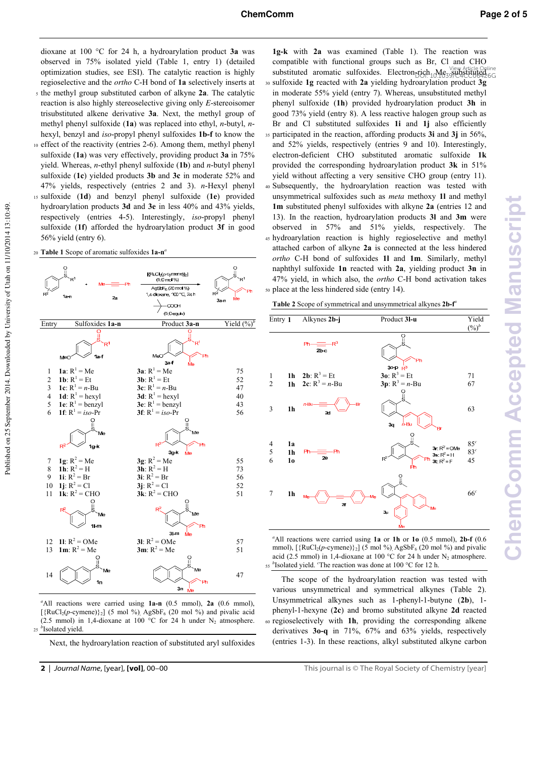dioxane at 100 °C for 24 h, a hydroarylation product 3a was observed in 75% isolated yield (Table 1, entry 1) (detailed optimization studies, see ESI). The catalytic reaction is highly regioselective and the *ortho* C-H bond of **1a** selectively inserts at

- <sup>5</sup>the methyl group substituted carbon of alkyne **2a**. The catalytic reaction is also highly stereoselective giving only *E*-stereoisomer trisubstituted alkene derivative **3a**. Next, the methyl group of methyl phenyl sulfoxide (**1a**) was replaced into ethyl, *n*-butyl, *n*hexyl, benzyl and *iso*-propyl phenyl sulfoxides **1b-f** to know the
- 10 effect of the reactivity (entries 2-6). Among them, methyl phenyl sulfoxide (**1a**) was very effectively, providing product **3a** in 75% yield. Whereas, *n*-ethyl phenyl sulfoxide (**1b**) and *n*-butyl phenyl sulfoxide (**1c**) yielded products **3b** and **3c** in moderate 52% and 47% yields, respectively (entries 2 and 3). *n*-Hexyl phenyl <sup>15</sup>sulfoxide (**1d**) and benzyl phenyl sulfoxide (**1e**) provided
- hydroarylation products **3d** and **3e** in less 40% and 43% yields, respectively (entries 4-5). Interestingly, *iso*-propyl phenyl sulfoxide (**1f**) afforded the hydroarylation product **3f** in good 56% yield (entry 6).
- **Table 1** Scope of aromatic sulfoxides **1a-n***<sup>a</sup>* 20



*<sup>a</sup>*All reactions were carried using **1a-n** (0.5 mmol), **2a** (0.6 mmol),  $[\text{RuCl}_2(p\text{-cymene})]_2]$  (5 mol %), AgSbF<sub>6</sub> (20 mol %) and pivalic acid (2.5 mmol) in 1,4-dioxane at 100 °C for 24 h under  $N_2$  atmosphere. <sup>25</sup><sup>b</sup>Isolated yield.

Next, the hydroarylation reaction of substituted aryl sulfoxides

**Table 2** Scope of symmetrical and unsymmetrical alkynes **2b-f***<sup>a</sup>*



*<sup>a</sup>*All reactions were carried using **1a** or **1h** or **1o** (0.5 mmol), **2b-f** (0.6 mmol),  $[\text{RuCl}_2(p\text{-cymene})_2]$  (5 mol %), AgSbF<sub>6</sub> (20 mol %) and pivalic acid (2.5 mmol) in 1,4-dioxane at 100 °C for 24 h under  $N_2$  atmosphere. <sup>b</sup>Isolated yield. <sup>*c*</sup>The reaction was done at 100 °C for 12 h.

 The scope of the hydroarylation reaction was tested with various unsymmetrical and symmetrical alkynes (Table 2). Unsymmetrical alkynes such as 1-phenyl-1-butyne (**2b**), 1 phenyl-1-hexyne (**2c**) and bromo substituted alkyne **2d** reacted <sup>60</sup>regioselectively with **1h**, providing the corresponding alkene derivatives **3o-q** in 71%, 67% and 63% yields, respectively (entries 1-3). In these reactions, alkyl substituted alkyne carbon

**<sup>1</sup>g-k** with **2a** was examined (Table 1). The reaction was compatible with functional groups such as Br, Cl and CHO substituted aromatic sulfoxides. Electron-rich Me View Article Online <sup>30</sup>sulfoxide **1g** reacted with **2a** yielding hydroarylation product **3g** in moderate 55% yield (entry 7). Whereas, unsubstituted methyl phenyl sulfoxide (**1h**) provided hydroarylation product **3h** in good 73% yield (entry 8). A less reactive halogen group such as Br and Cl substituted sulfoxides **1i** and **1j** also efficiently <sup>35</sup>participated in the reaction, affording products **3i** and **3j** in 56%, and 52% yields, respectively (entries 9 and 10). Interestingly, electron-deficient CHO substituted aromatic sulfoxide **1k** provided the corresponding hydroarylation product **3k** in 51% yield without affecting a very sensitive CHO group (entry 11). <sup>40</sup>Subsequently, the hydroarylation reaction was tested with unsymmetrical sulfoxides such as *meta* methoxy **1l** and methyl **1m** substituted phenyl sulfoxides with alkyne **2a** (entries 12 and 13). In the reaction, hydroarylation products **3l** and **3m** were observed in 57% and 51% yields, respectively. The <sup>45</sup>hydroarylation reaction is highly regioselective and methyl attached carbon of alkyne **2a** is connected at the less hindered *ortho* C-H bond of sulfoxides **1l** and **1m**. Similarly, methyl naphthyl sulfoxide **1n** reacted with **2a**, yielding product **3n** in 47% yield, in which also, the *ortho* C-H bond activation takes 50 place at the less hindered side (entry 14).

**<sup>2</sup>** | *Journal Name*, [year], **[vol]**, 00–00 **This journal is © The Royal Society of Chemistry [year]**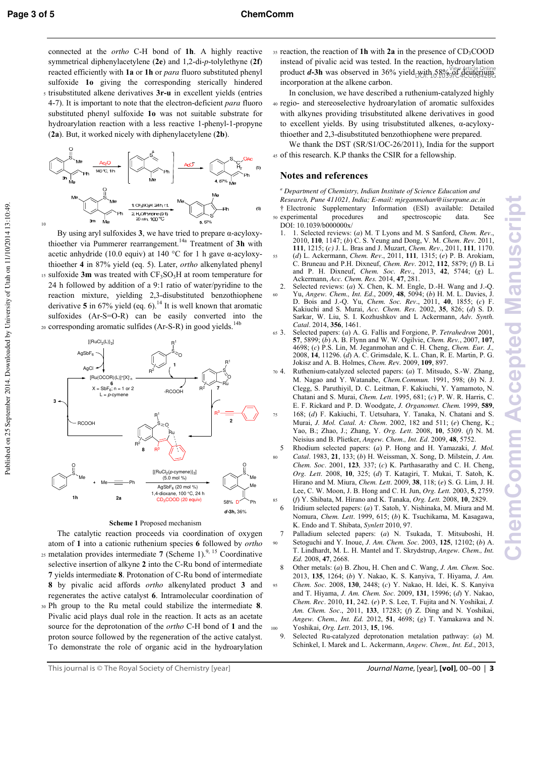10

Published on 25 September 2014. Downloaded by University of Utah on 11/10/2014 13:10:49.

Published on 25 September 2014. Downloaded by University of Utah on 11/10/2014 13:10:49.

connected at the *ortho* C-H bond of **1h**. A highly reactive symmetrical diphenylacetylene (**2e**) and 1,2-di-*p*-tolylethyne (**2f**) reacted efficiently with **1a** or **1h** or *para* fluoro substituted phenyl sulfoxide **1o** giving the corresponding sterically hindered <sup>5</sup>trisubstituted alkene derivatives **3r-u** in excellent yields (entries 4-7). It is important to note that the electron-deficient *para* fluoro substituted phenyl sulfoxide **1o** was not suitable substrate for hydroarylation reaction with a less reactive 1-phenyl-1-propyne (**2a**). But, it worked nicely with diphenylacetylene (**2b**).



 By using aryl sulfoxides **3**, we have tried to prepare α-acyloxythioether via Pummerer rearrangement.14a Treatment of **3h** with acetic anhydride (10.0 equiv) at 140 °C for 1 h gave  $\alpha$ -acyloxythioether **4** in 87% yield (eq. 5). Later, *ortho* alkenylated phenyl 15 sulfoxide 3m was treated with CF<sub>3</sub>SO<sub>3</sub>H at room temperature for 24 h followed by addition of a 9:1 ratio of water/pyridine to the reaction mixture, yielding 2,3-disubstituted benzothiophene derivative  $5$  in  $67\%$  yield (eq. 6).<sup>14</sup> It is well known that aromatic sulfoxides (Ar-S=O-R) can be easily converted into the 20 corresponding aromatic sulfides (Ar-S-R) in good yields.<sup>14b</sup>



### **Scheme 1** Proposed mechanism

 The catalytic reaction proceeds via coordination of oxygen atom of **1** into a cationic ruthenium species **6** followed by *ortho*  $_{25}$  metalation provides intermediate **7** (Scheme 1).<sup>9, 15</sup> Coordinative selective insertion of alkyne **2** into the C-Ru bond of intermediate **7** yields intermediate **8**. Protonation of C-Ru bond of intermediate **8** by pivalic acid affords *ortho* alkenylated product **3** and regenerates the active catalyst **6**. Intramolecular coordination of <sup>30</sup>Ph group to the Ru metal could stabilize the intermediate **8**. Pivalic acid plays dual role in the reaction. It acts as an acetate source for the deprotonation of the *ortho* C-H bond of **1** and the proton source followed by the regeneration of the active catalyst. To demonstrate the role of organic acid in the hydroarylation

<sup>35</sup> reaction, the reaction of **1h** with **2a** in the presence of CD<sub>3</sub>COOD instead of pivalic acid was tested. In the reaction, hydroarylation product *d***-3h** was observed in 36% yield with 58% view Article Online incorporation at the alkene carbon.

 In conclusion, we have described a ruthenium-catalyzed highly <sup>40</sup>regio- and stereoselective hydroarylation of aromatic sulfoxides with alkynes providing trisubstituted alkene derivatives in good to excellent yields. By using trisubstituted alkenes, α-acyloxythioether and 2,3-disubstituted benzothiophene were prepared.

 We thank the DST (SR/S1/OC-26/2011), India for the support <sup>45</sup>of this research. K.P thanks the CSIR for a fellowship.

### **Notes and references**

*a Department of Chemistry, Indian Institute of Science Education and Research, Pune 411021, India; E-mail: mjeganmohan@iiserpune.ac.in*  † Electronic Supplementary Information (ESI) available: Detailed

- <sup>50</sup>experimental procedures and spectroscopic data. See DOI: 10.1039/b0000000x/
- 1. 1. Selected reviews: (*a*) M. T Lyons and M. S Sanford, *Chem. Rev*., 2010, **110***,* 1147; (*b*) C. S. Yeung and Dong, V. M. *Chem. Rev*. 2011, **111**, 1215; (*c)* J. L. Bras and J. Muzart, *Chem. Rev*., 2011, **111***,* 1170.
- <sup>55</sup>(*d*) L. Ackermann, *Chem. Rev*., 2011, **111***,* 1315; (*e*) P. B. Arokiam, C. Bruneau and P.H. Dixneuf, *Chem. Rev*. 2012, **112**, 5879; (*f*) B. Li and P. H. Dixneuf, *Chem. Soc. Rev*., 2013, **42**, 5744; (*g*) L. Ackermann, *Acc. Chem. Res.* 2014, **47**, 281.
- 2. Selected reviews: (*a*) X. Chen, K. M. Engle, D.-H. Wang and J.-Q. <sup>60</sup>Yu, *Angew. Chem., Int. Ed*., 2009, **48**, 5094; (*b*) H. M. L. Davies, J. D. Bois and J.-Q. Yu, *Chem. Soc. Rev*., 2011, **40**, 1855; (*c*) F. Kakiuchi and S. Murai, *Acc. Chem. Res.* 2002, **35**, 826; (*d*) S. D. Sarkar, W. Liu, S. I. Kozhushkov and L Ackermann, *Adv. Synth. Catal*. 2014, **356**, 1461.
- <sup>65</sup>3. Selected papers: (*a*) A. G. Fallis and Forgione, P. *Tetrahedron* 2001, **57**, 5899; (*b*) A. B. Flynn and W. W. Ogilvie, *Chem. Rev.*, 2007, **107**, 4698; (*c*) P.S. Lin, M. Jeganmohan and C. H. Cheng, *Chem. Eur. J.,*  2008, **14**, 11296. (*d*) A. C. Grimsdale, K. L. Chan, R. E. Martin, P. G. Jokisz and A. B. Holmes, *Chem. Re*v*.* 2009, **109**, 897.
- <sup>70</sup>4. Ruthenium-catalyzed selected papers: (*a*) T. Mitsudo, S.-W. Zhang, M. Nagao and Y. Watanabe, *Chem.Commun.* 1991, 598; (*b*) N. J. Clegg, S. Paruthiyil, D. C. Leitman, F. Kakiuchi, Y. Yamamoto, N. Chatani and S. Murai, *Chem. Lett*. 1995, 681; (*c*) P. W. R. Harris, C. E. F. Rickard and P. D. Woodgate, *J. Organomet. Chem.* 1999, **589**,
- <sup>75</sup>168; (*d*) F. Kakiuchi, T. Uetsuhara, Y. Tanaka, N. Chatani and S. Murai, *J. Mol. Catal. A: Chem*. 2002, 182 and 511; (*e*) Cheng, K.; Yao, B.; Zhao, J.; Zhang, Y. *Org. Lett*. 2008, **10**, 5309. (*f*) N. M. Neisius and B. Plietker, *Angew. Chem., Int. Ed*. 2009, **48**, 5752.
- 5 Rhodium selected papers: (*a*) P. Hong and H. Yamazaki, *J. Mol.*  <sup>80</sup>*Catal*. 1983, **21**, 133; (*b*) H. Weissman, X. Song, D. Milstein, *J. Am. Chem. Soc*. 2001, **123***,* 337; (*c*) K. Parthasarathy and C. H. Cheng, *Org. Lett*. 2008, **10**, 325; (*d*) T. Katagiri, T. Mukai, T. Satoh, K. Hirano and M. Miura, *Chem. Lett*. 2009, **38**, 118; (*e*) S. G. Lim, J. H. Lee, C. W. Moon, J. B. Hong and C. H*.* Jun, *Org. Lett.* 2003, **5**, 2759.
- <sup>85</sup>(*f*) Y. Shibata, M. Hirano and K. Tanaka, *Org. Lett.* 2008, **10**, 2829. 6 Iridium selected papers: (*a*) T. Satoh, Y. Nishinaka, M. Miura and M. Nomura, *Chem. Lett*. 1999, 615; (*b*) K. Tsuchikama, M. Kasagawa, K. Endo and T. Shibata, *Synlett* 2010, 97.
- 7 Palladium selected papers: (*a*) N. Tsukada, T. Mitsuboshi, H. <sup>90</sup>Setoguchi and Y. Inoue, *J. Am. Chem. Soc*. 2003, **125**, 12102; (*b*) A. T. Lindhardt, M. L. H. Mantel and T. Skrydstrup, *Angew. Chem., Int. Ed.* 2008, **47**, 2668.
- 8 Other metals: (*a*) B. Zhou, H. Chen and C. Wang, *J. Am. Chem.* Soc. 2013, **135**, 1264; (*b*) Y. Nakao, K. S. Kanyiva, T. Hiyama, *J. Am.*
- <sup>95</sup>*Chem. Soc*. 2008, **130**, 2448; (*c*) Y. Nakao, H. Idei, K. S. Kanyiva and T. Hiyama, *J. Am. Chem. Soc*. 2009, **131**, 15996; (*d*) Y. Nakao, *Chem. Rec*. 2010, **11**, 242. (*e*) P. S. Lee, T. Fujita and N. Yoshikai, *J. Am. Chem. Soc*., 2011, **133**, 17283; (*f*) Z. Ding and N. Yoshikai, *Angew. Chem., Int. Ed.* 2012, **51**, 4698; (*g*) T. Yamakawa and N.
- 100 Yoshikai, *Org. Lett.* 2013, **15**, 196.<br>9. Selected Ru-catalyzed deprotona 9. Selected Ru-catalyzed deprotonation metalation pathway: (*a*) M. Schinkel, I. Marek and L. Ackermann, *Angew. Chem., Int. Ed*., 2013,

This journal is © The Royal Society of Chemistry [year] Journal Name, [year], **[vol]**, 00–00 | **3**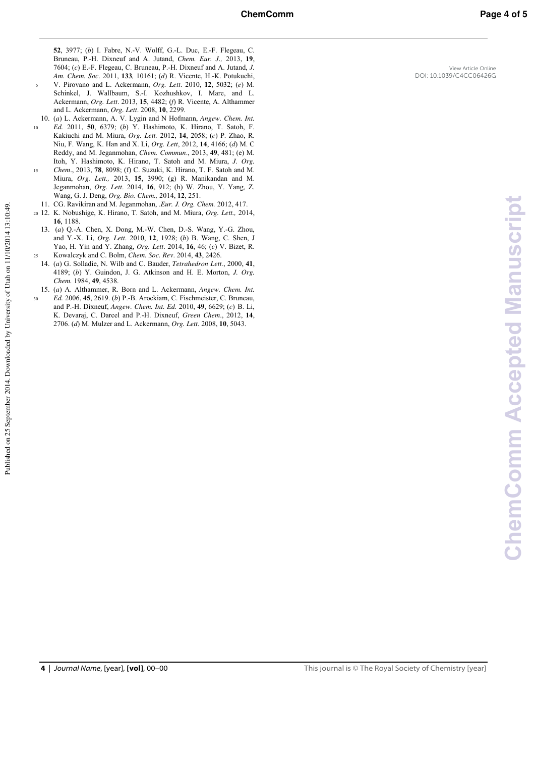- <sup>5</sup>V. Pirovano and L. Ackermann, *Org. Lett*. 2010, **12**, 5032; (*e*) M. Schinkel, J. Wallbaum, S.-I. Kozhushkov, I. Mare, and L. Ackermann, *Org. Lett*. 2013, **15**, 4482; (*f*) R. Vicente, A. Althammer and L. Ackermann, *Org. Lett*. 2008, **10**, 2299.
- 10. (*a*) L. Ackermann, A. V. Lygin and N Hofmann, *Angew. Chem. Int.*  <sup>10</sup>*Ed.* 2011, **50**, 6379; (*b*) Y. Hashimoto, K. Hirano, T. Satoh, F. Kakiuchi and M. Miura, *Org. Lett.* 2012, **14**, 2058; (*c*) P. Zhao, R. Niu, F. Wang, K. Han and X. Li, *Org. Lett*, 2012, **14**, 4166; (*d*) M. C Reddy, and M. Jeganmohan, *Chem. Commun*., 2013, **49**, 481; (e) M. Itoh, Y. Hashimoto, K. Hirano, T. Satoh and M. Miura, *J. Org.*  <sup>15</sup>*Chem*., 2013, **78**, 8098; (f) C. Suzuki, K. Hirano, T. F. Satoh and M. Miura, *Org. Lett.,* 2013, **15**, 3990; (g) R. Manikandan and M.
	- Jeganmohan, *Org. Lett*. 2014, **16**, 912; (h) W. Zhou, Y. Yang, Z. Wang, G. J. Deng, *Org. Bio. Chem.,* 2014, **12**, 251. 11. CG. Ravikiran and M. Jeganmohan, .*Eur. J. Org. Chem.* 2012, 417.
- <sup>20</sup>12. K. Nobushige, K. Hirano, T. Satoh, and M. Miura, *Org. Lett.,* 2014,
- **16**, 1188. 13. (*a*) Q.-A. Chen, X. Dong, M.-W. Chen, D.-S. Wang, Y.-G. Zhou, and Y.-X. Li, *Org. Lett*. 2010, **12**, 1928; (*b*) B. Wang, C. Shen, J Yao, H. Yin and Y. Zhang, *Org. Lett*. 2014, **16**, 46; (*c*) V. Bizet, R. <sup>25</sup>Kowalczyk and C. Bolm, *Chem. Soc. Rev*. 2014, **43**, 2426.
- 14. (*a*) G. Solladie, N. Wilb and C. Bauder, *Tetrahedron Lett.*, 2000, **41**, 4189; (*b*) Y. Guindon, J. G. Atkinson and H. E. Morton, *J. Org. Chem.* 1984, **49**, 4538.
- 15. (*a*) A. Althammer, R. Born and L. Ackermann, *Angew. Chem. Int.*  <sup>30</sup>*Ed.* 2006, **45**, 2619. (*b*) P.-B. Arockiam, C. Fischmeister, C. Bruneau, and P.-H. Dixneuf, *Angew. Chem. Int. Ed.* 2010, **49**, 6629; (*c*) B. Li, K. Devaraj, C. Darcel and P.-H. Dixneuf, *Green Chem*., 2012, **14**, 2706. (*d*) M. Mulzer and L. Ackermann, *Org. Lett*. 2008, **10**, 5043.

Published on 25 September 2014. Downloaded by University of Utah on 11/10/2014 13:10:49.

Published on 25 September 2014. Downloaded by University of Utah on 11/10/2014 13:10:49.

View Article Online DOI: 10.1039/C4CC06426G